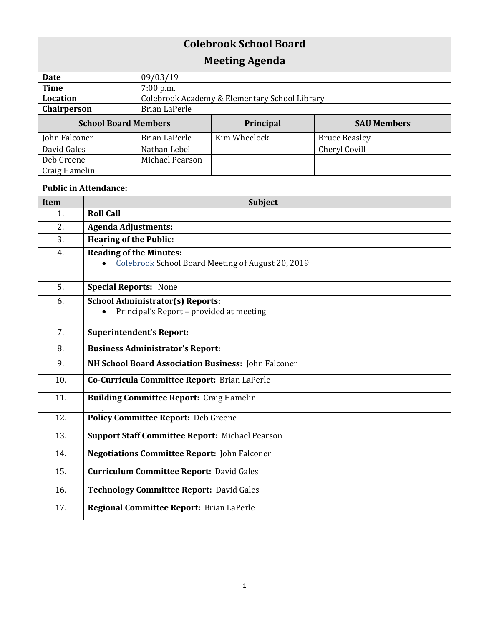| <b>Colebrook School Board</b> |                                                                                     |                                               |                                                   |                      |  |
|-------------------------------|-------------------------------------------------------------------------------------|-----------------------------------------------|---------------------------------------------------|----------------------|--|
| <b>Meeting Agenda</b>         |                                                                                     |                                               |                                                   |                      |  |
| <b>Date</b>                   |                                                                                     | 09/03/19                                      |                                                   |                      |  |
| <b>Time</b>                   |                                                                                     | 7:00 p.m.                                     |                                                   |                      |  |
| <b>Location</b>               |                                                                                     | Colebrook Academy & Elementary School Library |                                                   |                      |  |
| Chairperson                   |                                                                                     | <b>Brian LaPerle</b>                          |                                                   |                      |  |
| <b>School Board Members</b>   |                                                                                     | Principal                                     | <b>SAU Members</b>                                |                      |  |
| John Falconer                 |                                                                                     | <b>Brian LaPerle</b>                          | Kim Wheelock                                      | <b>Bruce Beasley</b> |  |
| David Gales                   |                                                                                     | Nathan Lebel                                  |                                                   | <b>Cheryl Covill</b> |  |
| Deb Greene                    |                                                                                     | Michael Pearson                               |                                                   |                      |  |
| Craig Hamelin                 |                                                                                     |                                               |                                                   |                      |  |
| <b>Public in Attendance:</b>  |                                                                                     |                                               |                                                   |                      |  |
| <b>Item</b>                   |                                                                                     | <b>Subject</b>                                |                                                   |                      |  |
| 1.                            | <b>Roll Call</b>                                                                    |                                               |                                                   |                      |  |
| 2.                            | <b>Agenda Adjustments:</b>                                                          |                                               |                                                   |                      |  |
| 3.                            | <b>Hearing of the Public:</b>                                                       |                                               |                                                   |                      |  |
| 4.                            | <b>Reading of the Minutes:</b>                                                      |                                               |                                                   |                      |  |
|                               |                                                                                     |                                               | Colebrook School Board Meeting of August 20, 2019 |                      |  |
|                               |                                                                                     |                                               |                                                   |                      |  |
| 5.                            | <b>Special Reports: None</b>                                                        |                                               |                                                   |                      |  |
| 6.                            | <b>School Administrator(s) Reports:</b><br>Principal's Report - provided at meeting |                                               |                                                   |                      |  |
|                               |                                                                                     |                                               |                                                   |                      |  |
| 7.                            | <b>Superintendent's Report:</b>                                                     |                                               |                                                   |                      |  |
| 8.                            | <b>Business Administrator's Report:</b>                                             |                                               |                                                   |                      |  |
| 9.                            | NH School Board Association Business: John Falconer                                 |                                               |                                                   |                      |  |
| 10.                           | Co-Curricula Committee Report: Brian LaPerle                                        |                                               |                                                   |                      |  |
| 11.                           | <b>Building Committee Report: Craig Hamelin</b>                                     |                                               |                                                   |                      |  |
| 12.                           | Policy Committee Report: Deb Greene                                                 |                                               |                                                   |                      |  |
| 13.                           | <b>Support Staff Committee Report: Michael Pearson</b>                              |                                               |                                                   |                      |  |
| 14.                           | <b>Negotiations Committee Report: John Falconer</b>                                 |                                               |                                                   |                      |  |
| 15.                           | <b>Curriculum Committee Report: David Gales</b>                                     |                                               |                                                   |                      |  |
| 16.                           | <b>Technology Committee Report: David Gales</b>                                     |                                               |                                                   |                      |  |
| 17.                           |                                                                                     | Regional Committee Report: Brian LaPerle      |                                                   |                      |  |